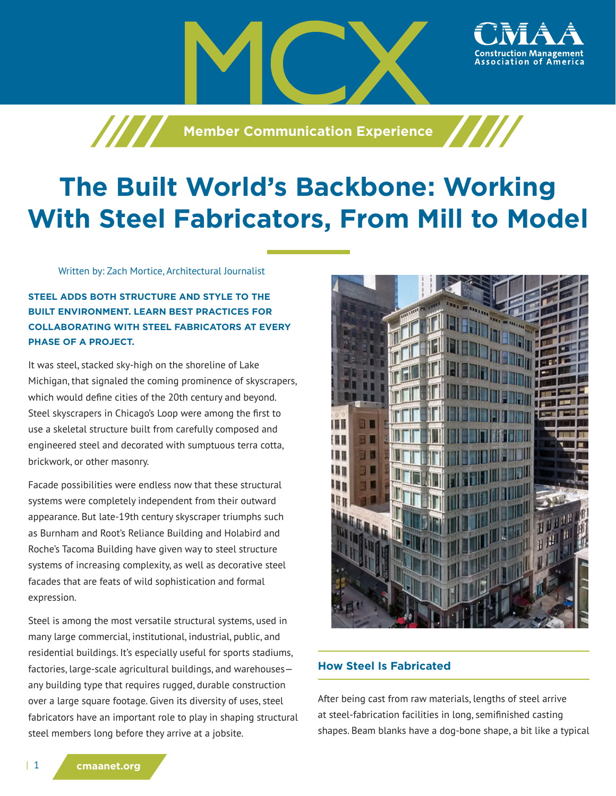**Member Communication Experience**

# **The Built World's Backbone: Working With Steel Fabricators, From Mill to Model**

Written by: Zach Mortice, Architectural Journalist

/////

**STEEL ADDS BOTH STRUCTURE AND STYLE TO THE BUILT ENVIRONMENT. LEARN BEST PRACTICES FOR COLLABORATING WITH STEEL FABRICATORS AT EVERY PHASE OF A PROJECT.**

It was steel, stacked sky-high on the shoreline of Lake Michigan, that signaled the coming prominence of skyscrapers, which would define cities of the 20th century and beyond. Steel skyscrapers in Chicago's Loop were among the first to use a skeletal structure built from carefully composed and engineered steel and decorated with sumptuous terra cotta, brickwork, or other masonry.

Facade possibilities were endless now that these structural systems were completely independent from their outward appearance. But late-19th century skyscraper triumphs such as Burnham and Root's Reliance Building and Holabird and Roche's Tacoma Building have given way to steel structure systems of increasing complexity, as well as decorative steel facades that are feats of wild sophistication and formal expression.

Steel is among the most versatile structural systems, used in many large commercial, institutional, industrial, public, and residential buildings. It's especially useful for sports stadiums, factories, large-scale agricultural buildings, and warehouses any building type that requires rugged, durable construction over a large square footage. Given its diversity of uses, steel fabricators have an important role to play in shaping structural steel members long before they arrive at a jobsite.



## **How Steel Is Fabricated**

After being cast from raw materials, lengths of steel arrive at steel-fabrication facilities in long, semifinished casting shapes. Beam blanks have a dog-bone shape, a bit like a typical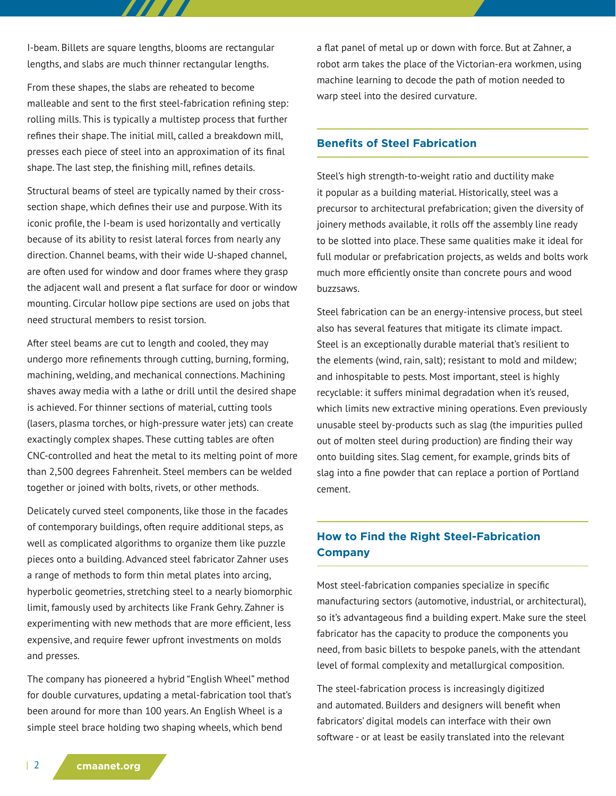I-beam. Billets are square lengths, blooms are rectangular lengths, and slabs are much thinner rectangular lengths.

777 T

From these shapes, the slabs are reheated to become malleable and sent to the first steel-fabrication refining step: rolling mills. This is typically a multistep process that further refines their shape. The initial mill, called a breakdown mill, presses each piece of steel into an approximation of its final shape. The last step, the finishing mill, refines details.

Structural beams of steel are typically named by their crosssection shape, which defines their use and purpose. With its iconic profile, the I-beam is used horizontally and vertically because of its ability to resist lateral forces from nearly any direction. Channel beams, with their wide U-shaped channel, are often used for window and door frames where they grasp the adjacent wall and present a flat surface for door or window mounting. Circular hollow pipe sections are used on jobs that need structural members to resist torsion.

After steel beams are cut to length and cooled, they may undergo more refinements through cutting, burning, forming, machining, welding, and mechanical connections. Machining shaves away media with a lathe or drill until the desired shape is achieved. For thinner sections of material, cutting tools (lasers, plasma torches, or high-pressure water jets) can create exactingly complex shapes. These cutting tables are often CNC-controlled and heat the metal to its melting point of more than 2,500 degrees Fahrenheit. Steel members can be welded together or joined with bolts, rivets, or other methods.

Delicately curved steel components, like those in the facades of contemporary buildings, often require additional steps, as well as complicated algorithms to organize them like puzzle pieces onto a building. Advanced steel fabricator Zahner uses a range of methods to form thin metal plates into arcing, hyperbolic geometries, stretching steel to a nearly biomorphic limit, famously used by architects like Frank Gehry. Zahner is experimenting with new methods that are more efficient, less expensive, and require fewer upfront investments on molds and presses.

The company has pioneered a hybrid "English Wheel" method for double curvatures, updating a metal-fabrication tool that's been around for more than 100 years. An English Wheel is a simple steel brace holding two shaping wheels, which bend

a flat panel of metal up or down with force. But at Zahner, a robot arm takes the place of the Victorian-era workmen, using machine learning to decode the path of motion needed to warp steel into the desired curvature.

#### **Benefits of Steel Fabrication**

Steel's high strength-to-weight ratio and ductility make it popular as a building material. Historically, steel was a precursor to architectural prefabrication; given the diversity of joinery methods available, it rolls off the assembly line ready to be slotted into place. These same qualities make it ideal for full modular or prefabrication projects, as welds and bolts work much more efficiently onsite than concrete pours and wood buzzsaws.

Steel fabrication can be an energy-intensive process, but steel also has several features that mitigate its climate impact. Steel is an exceptionally durable material that's resilient to the elements (wind, rain, salt); resistant to mold and mildew; and inhospitable to pests. Most important, steel is highly recyclable: it suffers minimal degradation when it's reused, which limits new extractive mining operations. Even previously unusable steel by-products such as slag (the impurities pulled out of molten steel during production) are finding their way onto building sites. Slag cement, for example, grinds bits of slag into a fine powder that can replace a portion of Portland cement.

# **How to Find the Right Steel-Fabrication Company**

Most steel-fabrication companies specialize in specific manufacturing sectors (automotive, industrial, or architectural), so it's advantageous find a building expert. Make sure the steel fabricator has the capacity to produce the components you need, from basic billets to bespoke panels, with the attendant level of formal complexity and metallurgical composition.

The steel-fabrication process is increasingly digitized and automated. Builders and designers will benefit when fabricators' digital models can interface with their own software - or at least be easily translated into the relevant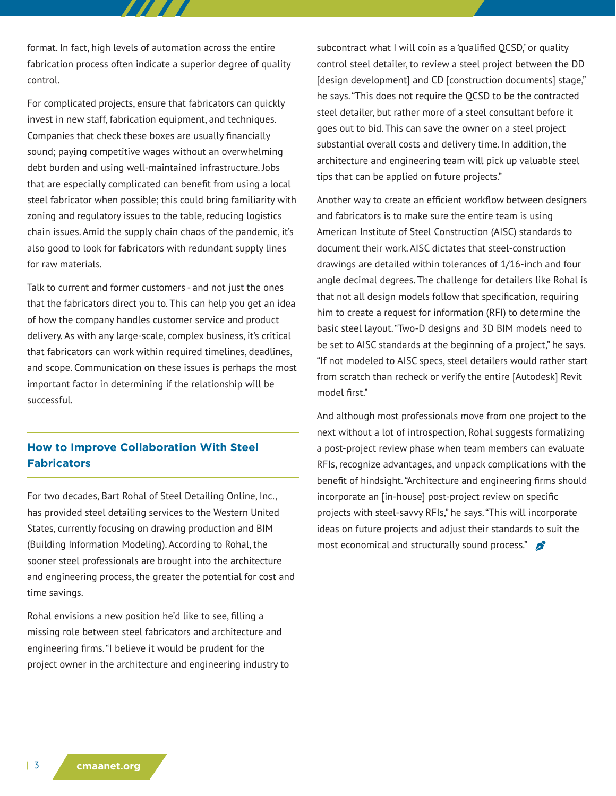format. In fact, high levels of automation across the entire fabrication process often indicate a superior degree of quality control.

For complicated projects, ensure that fabricators can quickly invest in new staff, fabrication equipment, and techniques. Companies that check these boxes are usually financially sound; paying competitive wages without an overwhelming debt burden and using well-maintained infrastructure. Jobs that are especially complicated can benefit from using a local steel fabricator when possible; this could bring familiarity with zoning and regulatory issues to the table, reducing logistics chain issues. Amid the supply chain chaos of the pandemic, it's also good to look for fabricators with redundant supply lines for raw materials.

Talk to current and former customers - and not just the ones that the fabricators direct you to. This can help you get an idea of how the company handles customer service and product delivery. As with any large-scale, complex business, it's critical that fabricators can work within required timelines, deadlines, and scope. Communication on these issues is perhaps the most important factor in determining if the relationship will be successful.

## **How to Improve Collaboration With Steel Fabricators**

For two decades, Bart Rohal of Steel Detailing Online, Inc., has provided steel detailing services to the Western United States, currently focusing on drawing production and BIM (Building Information Modeling). According to Rohal, the sooner steel professionals are brought into the architecture and engineering process, the greater the potential for cost and time savings.

Rohal envisions a new position he'd like to see, filling a missing role between steel fabricators and architecture and engineering firms. "I believe it would be prudent for the project owner in the architecture and engineering industry to subcontract what I will coin as a 'qualified QCSD,' or quality control steel detailer, to review a steel project between the DD [design development] and CD [construction documents] stage," he says. "This does not require the QCSD to be the contracted steel detailer, but rather more of a steel consultant before it goes out to bid. This can save the owner on a steel project substantial overall costs and delivery time. In addition, the architecture and engineering team will pick up valuable steel tips that can be applied on future projects."

Another way to create an efficient workflow between designers and fabricators is to make sure the entire team is using American Institute of Steel Construction (AISC) standards to document their work. AISC dictates that steel-construction drawings are detailed within tolerances of 1/16-inch and four angle decimal degrees. The challenge for detailers like Rohal is that not all design models follow that specification, requiring him to create a request for information (RFI) to determine the basic steel layout. "Two-D designs and 3D BIM models need to be set to AISC standards at the beginning of a project," he says. "If not modeled to AISC specs, steel detailers would rather start from scratch than recheck or verify the entire [Autodesk] Revit model first."

And although most professionals move from one project to the next without a lot of introspection, Rohal suggests formalizing a post-project review phase when team members can evaluate RFIs, recognize advantages, and unpack complications with the benefit of hindsight. "Architecture and engineering firms should incorporate an [in-house] post-project review on specific projects with steel-savvy RFIs," he says. "This will incorporate ideas on future projects and adjust their standards to suit the most economical and structurally sound process."  $\mathbf{\hat{p}}^*$